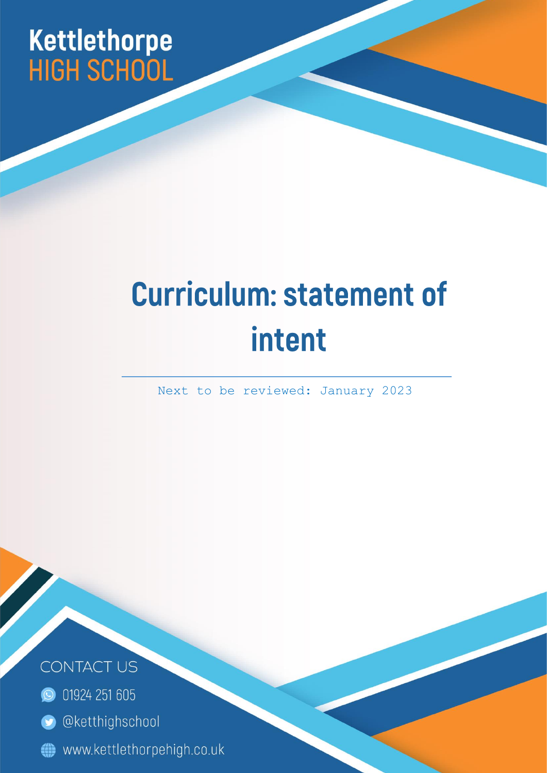# Kettlethorpe<br>HIGH SCHOOL

# **Curriculum: statement of** intent

Next to be reviewed: January 2023

Page | 1



- **O** 01924 251 605
- **O** @ketthighschool
- www.kettlethorpehigh.co.uk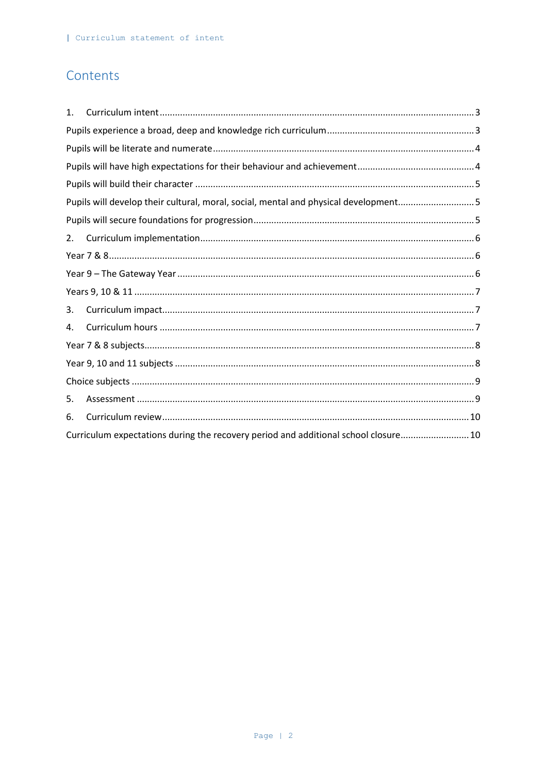#### Contents

| $\mathbf{1}$ .                                                                      |  |  |  |  |
|-------------------------------------------------------------------------------------|--|--|--|--|
|                                                                                     |  |  |  |  |
|                                                                                     |  |  |  |  |
|                                                                                     |  |  |  |  |
|                                                                                     |  |  |  |  |
| Pupils will develop their cultural, moral, social, mental and physical development5 |  |  |  |  |
|                                                                                     |  |  |  |  |
| 2.                                                                                  |  |  |  |  |
|                                                                                     |  |  |  |  |
|                                                                                     |  |  |  |  |
|                                                                                     |  |  |  |  |
| 3.                                                                                  |  |  |  |  |
| 4.                                                                                  |  |  |  |  |
|                                                                                     |  |  |  |  |
|                                                                                     |  |  |  |  |
|                                                                                     |  |  |  |  |
| 5.                                                                                  |  |  |  |  |
| 6.                                                                                  |  |  |  |  |
| Curriculum expectations during the recovery period and additional school closure 10 |  |  |  |  |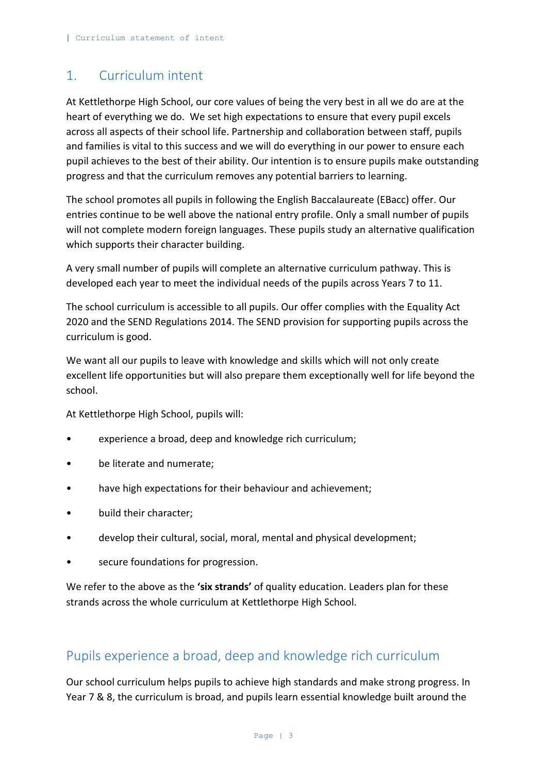#### <span id="page-2-0"></span>1. Curriculum intent

At Kettlethorpe High School, our core values of being the very best in all we do are at the heart of everything we do. We set high expectations to ensure that every pupil excels across all aspects of their school life. Partnership and collaboration between staff, pupils and families is vital to this success and we will do everything in our power to ensure each pupil achieves to the best of their ability. Our intention is to ensure pupils make outstanding progress and that the curriculum removes any potential barriers to learning.

The school promotes all pupils in following the English Baccalaureate (EBacc) offer. Our entries continue to be well above the national entry profile. Only a small number of pupils will not complete modern foreign languages. These pupils study an alternative qualification which supports their character building.

A very small number of pupils will complete an alternative curriculum pathway. This is developed each year to meet the individual needs of the pupils across Years 7 to 11.

The school curriculum is accessible to all pupils. Our offer complies with the Equality Act 2020 and the SEND Regulations 2014. The SEND provision for supporting pupils across the curriculum is good.

We want all our pupils to leave with knowledge and skills which will not only create excellent life opportunities but will also prepare them exceptionally well for life beyond the school.

At Kettlethorpe High School, pupils will:

- experience a broad, deep and knowledge rich curriculum;
- be literate and numerate;
- have high expectations for their behaviour and achievement:
- build their character;
- develop their cultural, social, moral, mental and physical development;
- secure foundations for progression.

We refer to the above as the **'six strands'** of quality education. Leaders plan for these strands across the whole curriculum at Kettlethorpe High School.

#### <span id="page-2-1"></span>Pupils experience a broad, deep and knowledge rich curriculum

Our school curriculum helps pupils to achieve high standards and make strong progress. In Year 7 & 8, the curriculum is broad, and pupils learn essential knowledge built around the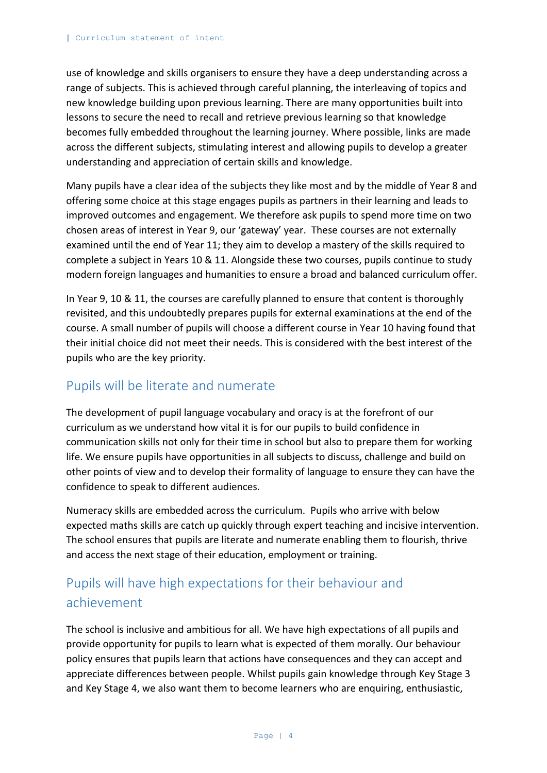use of knowledge and skills organisers to ensure they have a deep understanding across a range of subjects. This is achieved through careful planning, the interleaving of topics and new knowledge building upon previous learning. There are many opportunities built into lessons to secure the need to recall and retrieve previous learning so that knowledge becomes fully embedded throughout the learning journey. Where possible, links are made across the different subjects, stimulating interest and allowing pupils to develop a greater understanding and appreciation of certain skills and knowledge.

Many pupils have a clear idea of the subjects they like most and by the middle of Year 8 and offering some choice at this stage engages pupils as partners in their learning and leads to improved outcomes and engagement. We therefore ask pupils to spend more time on two chosen areas of interest in Year 9, our 'gateway' year. These courses are not externally examined until the end of Year 11; they aim to develop a mastery of the skills required to complete a subject in Years 10 & 11. Alongside these two courses, pupils continue to study modern foreign languages and humanities to ensure a broad and balanced curriculum offer.

In Year 9, 10 & 11, the courses are carefully planned to ensure that content is thoroughly revisited, and this undoubtedly prepares pupils for external examinations at the end of the course. A small number of pupils will choose a different course in Year 10 having found that their initial choice did not meet their needs. This is considered with the best interest of the pupils who are the key priority.

#### <span id="page-3-0"></span>Pupils will be literate and numerate

The development of pupil language vocabulary and oracy is at the forefront of our curriculum as we understand how vital it is for our pupils to build confidence in communication skills not only for their time in school but also to prepare them for working life. We ensure pupils have opportunities in all subjects to discuss, challenge and build on other points of view and to develop their formality of language to ensure they can have the confidence to speak to different audiences.

Numeracy skills are embedded across the curriculum. Pupils who arrive with below expected maths skills are catch up quickly through expert teaching and incisive intervention. The school ensures that pupils are literate and numerate enabling them to flourish, thrive and access the next stage of their education, employment or training.

# <span id="page-3-1"></span>Pupils will have high expectations for their behaviour and achievement

The school is inclusive and ambitious for all. We have high expectations of all pupils and provide opportunity for pupils to learn what is expected of them morally. Our behaviour policy ensures that pupils learn that actions have consequences and they can accept and appreciate differences between people. Whilst pupils gain knowledge through Key Stage 3 and Key Stage 4, we also want them to become learners who are enquiring, enthusiastic,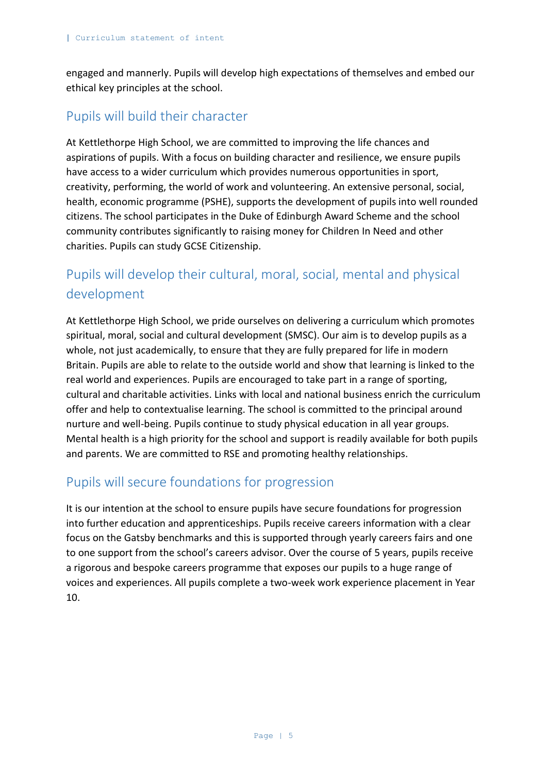engaged and mannerly. Pupils will develop high expectations of themselves and embed our ethical key principles at the school.

#### <span id="page-4-0"></span>Pupils will build their character

At Kettlethorpe High School, we are committed to improving the life chances and aspirations of pupils. With a focus on building character and resilience, we ensure pupils have access to a wider curriculum which provides numerous opportunities in sport, creativity, performing, the world of work and volunteering. An extensive personal, social, health, economic programme (PSHE), supports the development of pupils into well rounded citizens. The school participates in the Duke of Edinburgh Award Scheme and the school community contributes significantly to raising money for Children In Need and other charities. Pupils can study GCSE Citizenship.

# <span id="page-4-1"></span>Pupils will develop their cultural, moral, social, mental and physical development

At Kettlethorpe High School, we pride ourselves on delivering a curriculum which promotes spiritual, moral, social and cultural development (SMSC). Our aim is to develop pupils as a whole, not just academically, to ensure that they are fully prepared for life in modern Britain. Pupils are able to relate to the outside world and show that learning is linked to the real world and experiences. Pupils are encouraged to take part in a range of sporting, cultural and charitable activities. Links with local and national business enrich the curriculum offer and help to contextualise learning. The school is committed to the principal around nurture and well-being. Pupils continue to study physical education in all year groups. Mental health is a high priority for the school and support is readily available for both pupils and parents. We are committed to RSE and promoting healthy relationships.

#### <span id="page-4-2"></span>Pupils will secure foundations for progression

It is our intention at the school to ensure pupils have secure foundations for progression into further education and apprenticeships. Pupils receive careers information with a clear focus on the Gatsby benchmarks and this is supported through yearly careers fairs and one to one support from the school's careers advisor. Over the course of 5 years, pupils receive a rigorous and bespoke careers programme that exposes our pupils to a huge range of voices and experiences. All pupils complete a two-week work experience placement in Year 10.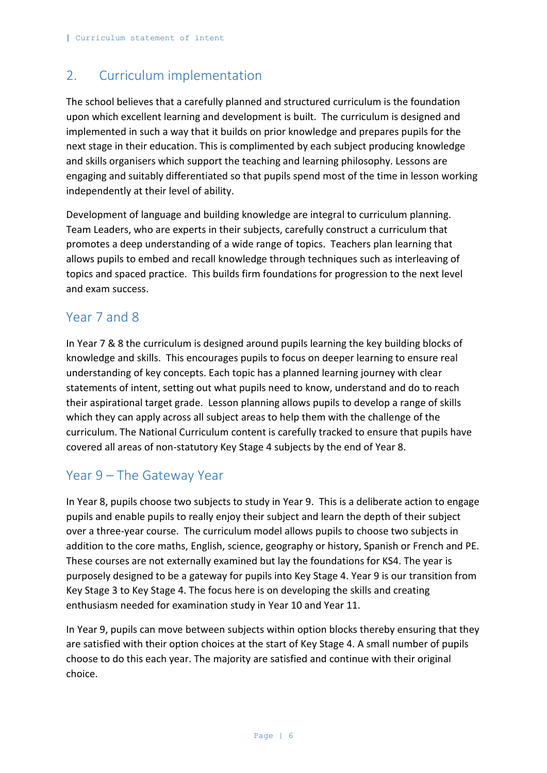## <span id="page-5-0"></span>2. Curriculum implementation

The school believes that a carefully planned and structured curriculum is the foundation upon which excellent learning and development is built. The curriculum is designed and implemented in such a way that it builds on prior knowledge and prepares pupils for the next stage in their education. This is complimented by each subject producing knowledge and skills organisers which support the teaching and learning philosophy. Lessons are engaging and suitably differentiated so that pupils spend most of the time in lesson working independently at their level of ability.

Development of language and building knowledge are integral to curriculum planning. Team Leaders, who are experts in their subjects, carefully construct a curriculum that promotes a deep understanding of a wide range of topics. Teachers plan learning that allows pupils to embed and recall knowledge through techniques such as interleaving of topics and spaced practice. This builds firm foundations for progression to the next level and exam success.

#### <span id="page-5-1"></span>Year 7 and 8

In Year 7 & 8 the curriculum is designed around pupils learning the key building blocks of knowledge and skills. This encourages pupils to focus on deeper learning to ensure real understanding of key concepts. Each topic has a planned learning journey with clear statements of intent, setting out what pupils need to know, understand and do to reach their aspirational target grade. Lesson planning allows pupils to develop a range of skills which they can apply across all subject areas to help them with the challenge of the curriculum. The National Curriculum content is carefully tracked to ensure that pupils have covered all areas of non-statutory Key Stage 4 subjects by the end of Year 8.

#### <span id="page-5-2"></span>Year 9 – The Gateway Year

In Year 8, pupils choose two subjects to study in Year 9. This is a deliberate action to engage pupils and enable pupils to really enjoy their subject and learn the depth of their subject over a three-year course. The curriculum model allows pupils to choose two subjects in addition to the core maths, English, science, geography or history, Spanish or French and PE. These courses are not externally examined but lay the foundations for KS4. The year is purposely designed to be a gateway for pupils into Key Stage 4. Year 9 is our transition from Key Stage 3 to Key Stage 4. The focus here is on developing the skills and creating enthusiasm needed for examination study in Year 10 and Year 11.

In Year 9, pupils can move between subjects within option blocks thereby ensuring that they are satisfied with their option choices at the start of Key Stage 4. A small number of pupils choose to do this each year. The majority are satisfied and continue with their original choice.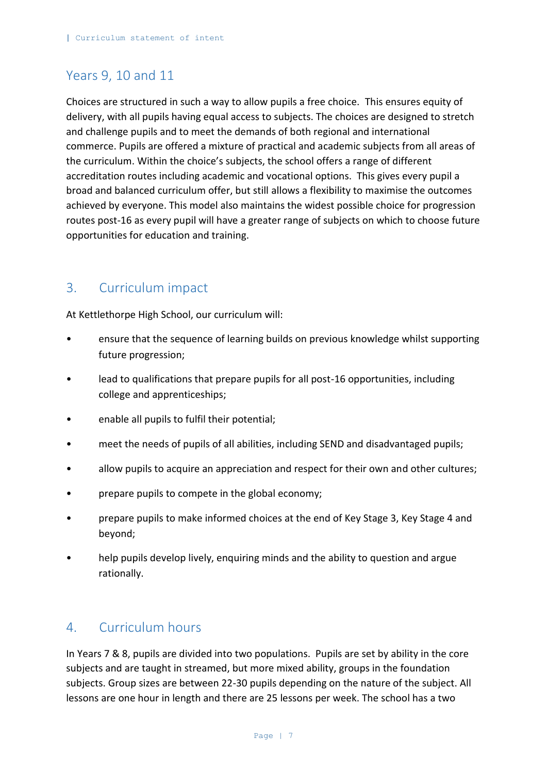## <span id="page-6-0"></span>Years 9, 10 and 11

Choices are structured in such a way to allow pupils a free choice. This ensures equity of delivery, with all pupils having equal access to subjects. The choices are designed to stretch and challenge pupils and to meet the demands of both regional and international commerce. Pupils are offered a mixture of practical and academic subjects from all areas of the curriculum. Within the choice's subjects, the school offers a range of different accreditation routes including academic and vocational options. This gives every pupil a broad and balanced curriculum offer, but still allows a flexibility to maximise the outcomes achieved by everyone. This model also maintains the widest possible choice for progression routes post-16 as every pupil will have a greater range of subjects on which to choose future opportunities for education and training.

#### <span id="page-6-1"></span>3. Curriculum impact

At Kettlethorpe High School, our curriculum will:

- ensure that the sequence of learning builds on previous knowledge whilst supporting future progression;
- lead to qualifications that prepare pupils for all post-16 opportunities, including college and apprenticeships;
- enable all pupils to fulfil their potential;
- meet the needs of pupils of all abilities, including SEND and disadvantaged pupils;
- allow pupils to acquire an appreciation and respect for their own and other cultures;
- prepare pupils to compete in the global economy;
- prepare pupils to make informed choices at the end of Key Stage 3, Key Stage 4 and beyond;
- help pupils develop lively, enquiring minds and the ability to question and argue rationally.

#### <span id="page-6-2"></span>4. Curriculum hours

In Years 7 & 8, pupils are divided into two populations. Pupils are set by ability in the core subjects and are taught in streamed, but more mixed ability, groups in the foundation subjects. Group sizes are between 22-30 pupils depending on the nature of the subject. All lessons are one hour in length and there are 25 lessons per week. The school has a two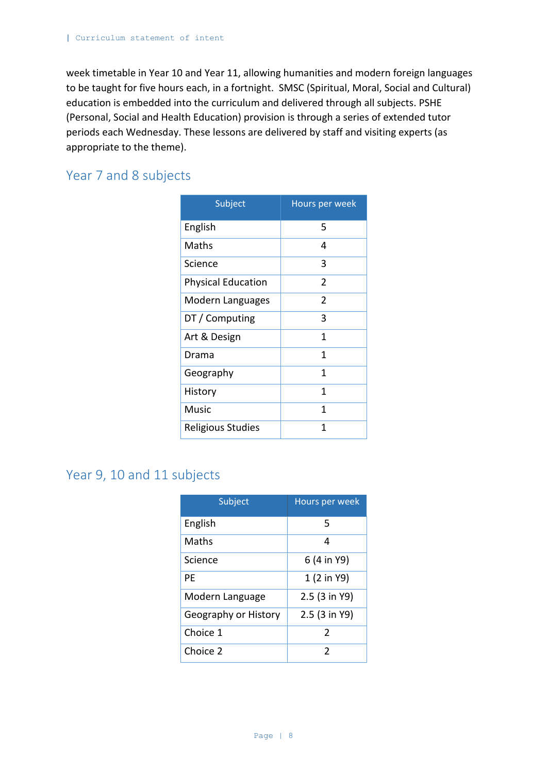week timetable in Year 10 and Year 11, allowing humanities and modern foreign languages to be taught for five hours each, in a fortnight. SMSC (Spiritual, Moral, Social and Cultural) education is embedded into the curriculum and delivered through all subjects. PSHE (Personal, Social and Health Education) provision is through a series of extended tutor periods each Wednesday. These lessons are delivered by staff and visiting experts (as appropriate to the theme).

#### <span id="page-7-0"></span>Year 7 and 8 subjects

| Subject                   | <b>Hours per week</b> |
|---------------------------|-----------------------|
| English                   | 5                     |
| Maths                     | 4                     |
| Science                   | 3                     |
| <b>Physical Education</b> | $\overline{2}$        |
| Modern Languages          | $\overline{2}$        |
| DT / Computing            | 3                     |
| Art & Design              | 1                     |
| Drama                     | 1                     |
| Geography                 | 1                     |
| History                   | 1                     |
| Music                     | 1                     |
| Religious Studies         | 1                     |

#### <span id="page-7-1"></span>Year 9, 10 and 11 subjects

| Subject              | <b>Hours per week</b> |
|----------------------|-----------------------|
| English              | 5                     |
| Maths                | 4                     |
| Science              | 6 (4 in Y9)           |
| РE                   | 1 (2 in Y9)           |
| Modern Language      | 2.5 (3 in Y9)         |
| Geography or History | 2.5 (3 in Y9)         |
| Choice 1             | 2                     |
| Choice 2             | 2                     |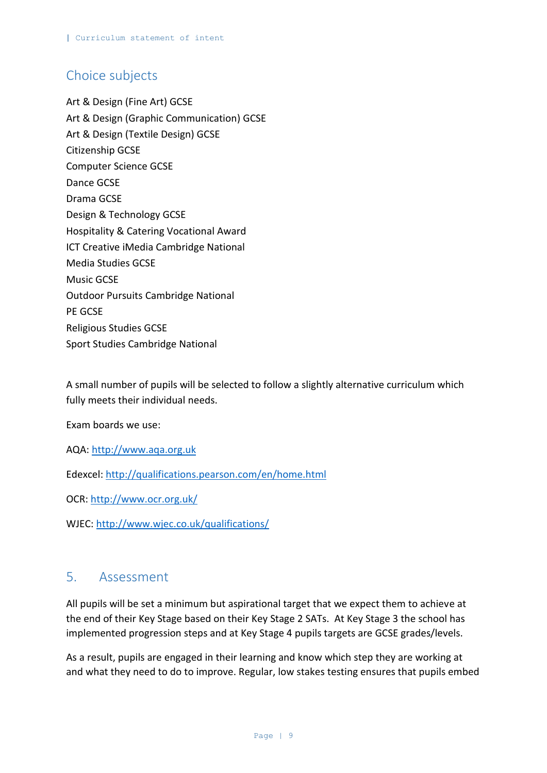### <span id="page-8-0"></span>Choice subjects

Art & Design (Fine Art) GCSE Art & Design (Graphic Communication) GCSE Art & Design (Textile Design) GCSE Citizenship GCSE Computer Science GCSE Dance GCSE Drama GCSE Design & Technology GCSE Hospitality & Catering Vocational Award ICT Creative iMedia Cambridge National Media Studies GCSE Music GCSE Outdoor Pursuits Cambridge National PE GCSE Religious Studies GCSE Sport Studies Cambridge National

A small number of pupils will be selected to follow a slightly alternative curriculum which fully meets their individual needs.

Exam boards we use:

AQA: [http://www.aqa.org.uk](http://www.aqa.org.uk/)

Edexcel:<http://qualifications.pearson.com/en/home.html>

OCR:<http://www.ocr.org.uk/>

WJEC:<http://www.wjec.co.uk/qualifications/>

#### <span id="page-8-1"></span>5. Assessment

All pupils will be set a minimum but aspirational target that we expect them to achieve at the end of their Key Stage based on their Key Stage 2 SATs. At Key Stage 3 the school has implemented progression steps and at Key Stage 4 pupils targets are GCSE grades/levels.

As a result, pupils are engaged in their learning and know which step they are working at and what they need to do to improve. Regular, low stakes testing ensures that pupils embed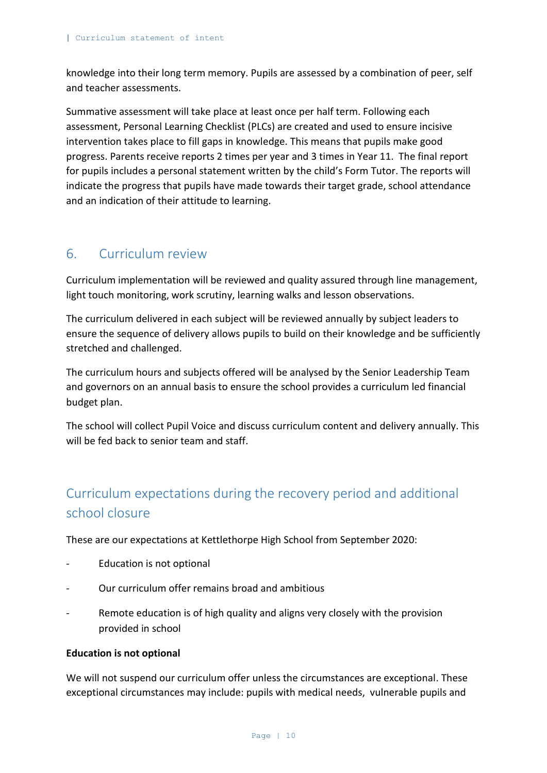knowledge into their long term memory. Pupils are assessed by a combination of peer, self and teacher assessments.

Summative assessment will take place at least once per half term. Following each assessment, Personal Learning Checklist (PLCs) are created and used to ensure incisive intervention takes place to fill gaps in knowledge. This means that pupils make good progress. Parents receive reports 2 times per year and 3 times in Year 11. The final report for pupils includes a personal statement written by the child's Form Tutor. The reports will indicate the progress that pupils have made towards their target grade, school attendance and an indication of their attitude to learning.

#### <span id="page-9-0"></span>6. Curriculum review

Curriculum implementation will be reviewed and quality assured through line management, light touch monitoring, work scrutiny, learning walks and lesson observations.

The curriculum delivered in each subject will be reviewed annually by subject leaders to ensure the sequence of delivery allows pupils to build on their knowledge and be sufficiently stretched and challenged.

The curriculum hours and subjects offered will be analysed by the Senior Leadership Team and governors on an annual basis to ensure the school provides a curriculum led financial budget plan.

The school will collect Pupil Voice and discuss curriculum content and delivery annually. This will be fed back to senior team and staff.

# <span id="page-9-1"></span>Curriculum expectations during the recovery period and additional school closure

These are our expectations at Kettlethorpe High School from September 2020:

- Education is not optional
- Our curriculum offer remains broad and ambitious
- Remote education is of high quality and aligns very closely with the provision provided in school

#### **Education is not optional**

We will not suspend our curriculum offer unless the circumstances are exceptional. These exceptional circumstances may include: pupils with medical needs, vulnerable pupils and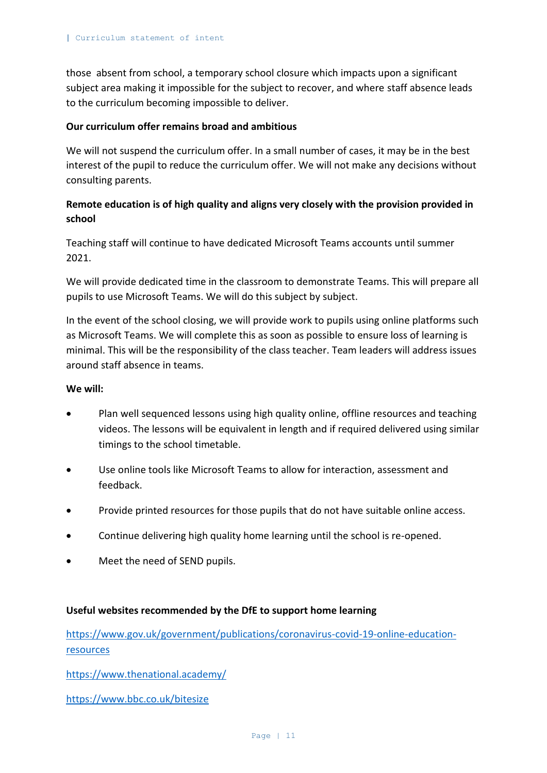those absent from school, a temporary school closure which impacts upon a significant subject area making it impossible for the subject to recover, and where staff absence leads to the curriculum becoming impossible to deliver.

#### **Our curriculum offer remains broad and ambitious**

We will not suspend the curriculum offer. In a small number of cases, it may be in the best interest of the pupil to reduce the curriculum offer. We will not make any decisions without consulting parents.

#### **Remote education is of high quality and aligns very closely with the provision provided in school**

Teaching staff will continue to have dedicated Microsoft Teams accounts until summer 2021.

We will provide dedicated time in the classroom to demonstrate Teams. This will prepare all pupils to use Microsoft Teams. We will do this subject by subject.

In the event of the school closing, we will provide work to pupils using online platforms such as Microsoft Teams. We will complete this as soon as possible to ensure loss of learning is minimal. This will be the responsibility of the class teacher. Team leaders will address issues around staff absence in teams.

#### **We will:**

- Plan well sequenced lessons using high quality online, offline resources and teaching videos. The lessons will be equivalent in length and if required delivered using similar timings to the school timetable.
- Use online tools like Microsoft Teams to allow for interaction, assessment and feedback.
- Provide printed resources for those pupils that do not have suitable online access.
- Continue delivering high quality home learning until the school is re-opened.
- Meet the need of SEND pupils.

#### **Useful websites recommended by the DfE to support home learning**

[https://www.gov.uk/government/publications/coronavirus-covid-19-online-education](https://www.gov.uk/government/publications/coronavirus-covid-19-online-education-resources)[resources](https://www.gov.uk/government/publications/coronavirus-covid-19-online-education-resources)

<https://www.thenational.academy/>

<https://www.bbc.co.uk/bitesize>